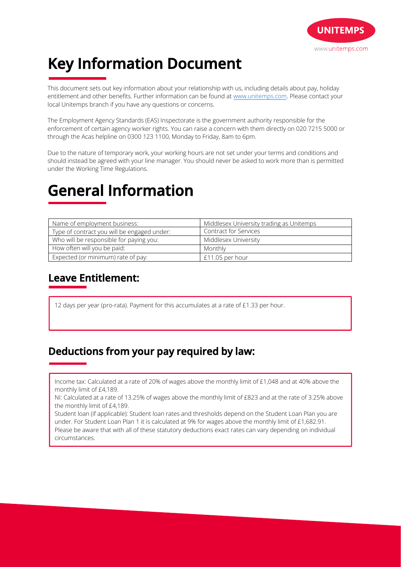

# **Key Information Document**

This document sets out key information about your relationship with us, including details about pay, holiday entitlement and other benefits. Further information can be found at www.unitemps.com. Please contact your local Unitemps branch if you have any questions or concerns.

The Employment Agency Standards (EAS) Inspectorate is the government authority responsible for the enforcement of certain agency worker rights. You can raise a concern with them directly on 020 7215 5000 or through the Acas helpline on 0300 123 1100, Monday to Friday, 8am to 6pm.

Due to the nature of temporary work, your working hours are not set under your terms and conditions and should instead be agreed with your line manager. You should never be asked to work more than is permitted under the Working Time Regulations.

# **General Information**

| Name of employment business:                | Middlesex University trading as Unitemps |
|---------------------------------------------|------------------------------------------|
| Type of contract you will be engaged under: | <b>Contract for Services</b>             |
| Who will be responsible for paying you:     | Middlesex University                     |
| How often will you be paid:                 | Monthly                                  |
| Expected (or minimum) rate of pay:          | £11.05 per hour                          |

### **Leave Entitlement:**

12 days per year (pro-rata). Payment for this accumulates at a rate of £1.33 per hour.

### **Deductions from your pay required by law:**

Income tax: Calculated at a rate of 20% of wages above the monthly limit of £1,048 and at 40% above the monthly limit of £4,189.

NI: Calculated at a rate of 13.25% of wages above the monthly limit of £823 and at the rate of 3.25% above the monthly limit of £4,189.

Student loan (if applicable): Student loan rates and thresholds depend on the Student Loan Plan you are under. For Student Loan Plan 1 it is calculated at 9% for wages above the monthly limit of £1,682.91. Please be aware that with all of these statutory deductions exact rates can vary depending on individual circumstances.